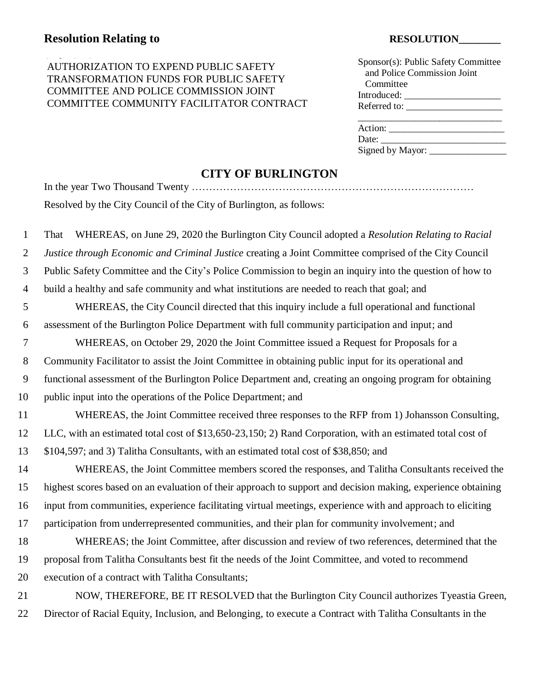### AUTHORIZATION TO EXPEND PUBLIC SAFETY Sponsor(s): Public Safety Committee TRANSFORMATION FUNDS FOR PUBLIC SAFETY COMMITTEE AND POLICE COMMISSION JOINT COMMITTEE COMMUNITY FACILITATOR CONTRACT

| Sponsor(s): Public Safety Committee |
|-------------------------------------|
| and Police Commission Joint         |
| Committee                           |
| Introduced:                         |
| Referred to:                        |
|                                     |
| Action:                             |
| Date:                               |
| Signed by Mayor:                    |
|                                     |

In the year Two Thousand Twenty ………………………………………………………………………

## **CITY OF BURLINGTON**

| Resolved by the City Council of the City of Burlington, as follows: |
|---------------------------------------------------------------------|

| $\mathbf{1}$   | WHEREAS, on June 29, 2020 the Burlington City Council adopted a Resolution Relating to Racial<br>That        |
|----------------|--------------------------------------------------------------------------------------------------------------|
| 2              | Justice through Economic and Criminal Justice creating a Joint Committee comprised of the City Council       |
| 3              | Public Safety Committee and the City's Police Commission to begin an inquiry into the question of how to     |
| $\overline{4}$ | build a healthy and safe community and what institutions are needed to reach that goal; and                  |
| 5              | WHEREAS, the City Council directed that this inquiry include a full operational and functional               |
| 6              | assessment of the Burlington Police Department with full community participation and input; and              |
| $\overline{7}$ | WHEREAS, on October 29, 2020 the Joint Committee issued a Request for Proposals for a                        |
| 8              | Community Facilitator to assist the Joint Committee in obtaining public input for its operational and        |
| 9              | functional assessment of the Burlington Police Department and, creating an ongoing program for obtaining     |
| 10             | public input into the operations of the Police Department; and                                               |
| 11             | WHEREAS, the Joint Committee received three responses to the RFP from 1) Johansson Consulting,               |
| 12             | LLC, with an estimated total cost of \$13,650-23,150; 2) Rand Corporation, with an estimated total cost of   |
| 13             | \$104,597; and 3) Talitha Consultants, with an estimated total cost of \$38,850; and                         |
| 14             | WHEREAS, the Joint Committee members scored the responses, and Talitha Consultants received the              |
| 15             | highest scores based on an evaluation of their approach to support and decision making, experience obtaining |
| 16             | input from communities, experience facilitating virtual meetings, experience with and approach to eliciting  |
| 17             | participation from underrepresented communities, and their plan for community involvement; and               |
| 18             | WHEREAS; the Joint Committee, after discussion and review of two references, determined that the             |
| 19             | proposal from Talitha Consultants best fit the needs of the Joint Committee, and voted to recommend          |
| 20             | execution of a contract with Talitha Consultants;                                                            |
| 21             | NOW, THEREFORE, BE IT RESOLVED that the Burlington City Council authorizes Tyeastia Green,                   |
| 22             | Director of Racial Equity, Inclusion, and Belonging, to execute a Contract with Talitha Consultants in the   |